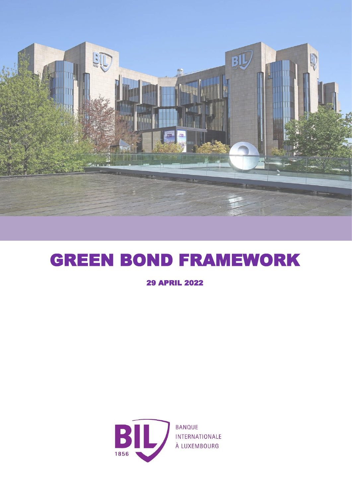

## GREEN BOND FRAMEWORK

29 APRIL 2022

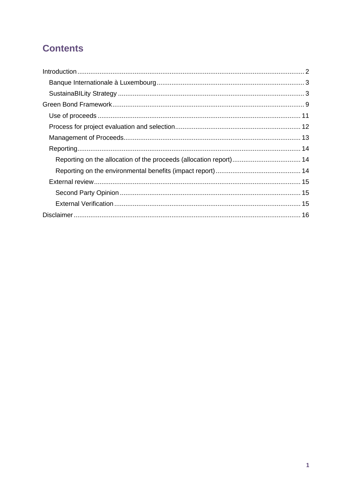### **Contents**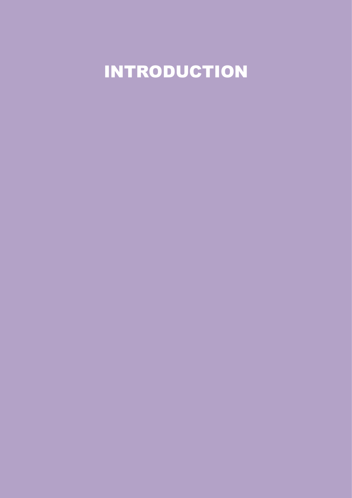<span id="page-2-0"></span>INTRODUCTION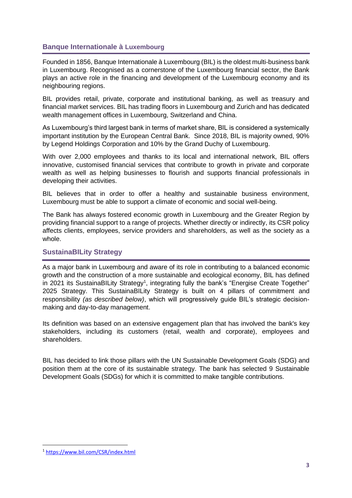#### <span id="page-3-0"></span>**Banque Internationale à Luxembourg**

Founded in 1856, Banque Internationale à Luxembourg (BIL) is the oldest multi-business bank in Luxembourg. Recognised as a cornerstone of the Luxembourg financial sector, the Bank plays an active role in the financing and development of the Luxembourg economy and its neighbouring regions.

BIL provides retail, private, corporate and institutional banking, as well as treasury and financial market services. BIL has trading floors in Luxembourg and Zurich and has dedicated wealth management offices in Luxembourg, Switzerland and China.

As Luxembourg's third largest bank in terms of market share, BIL is considered a systemically important institution by the European Central Bank. Since 2018, BIL is majority owned, 90% by Legend Holdings Corporation and 10% by the Grand Duchy of Luxembourg.

With over 2,000 employees and thanks to its local and international network, BIL offers innovative, customised financial services that contribute to growth in private and corporate wealth as well as helping businesses to flourish and supports financial professionals in developing their activities.

BIL believes that in order to offer a healthy and sustainable business environment, Luxembourg must be able to support a climate of economic and social well-being.

The Bank has always fostered economic growth in Luxembourg and the Greater Region by providing financial support to a range of projects. Whether directly or indirectly, its CSR policy affects clients, employees, service providers and shareholders, as well as the society as a whole.

#### <span id="page-3-1"></span>**SustainaBILity Strategy**

As a major bank in Luxembourg and aware of its role in contributing to a balanced economic growth and the construction of a more sustainable and ecological economy, BIL has defined in 2021 its SustainaBILity Strategy<sup>1</sup>, integrating fully the bank's "Energise Create Together" 2025 Strategy. This SustainaBILity Strategy is built on 4 pillars of commitment and responsibility *(as described below)*, which will progressively guide BIL's strategic decisionmaking and day-to-day management.

Its definition was based on an extensive engagement plan that has involved the bank's key stakeholders, including its customers (retail, wealth and corporate), employees and shareholders.

BIL has decided to link those pillars with the UN Sustainable Development Goals (SDG) and position them at the core of its sustainable strategy. The bank has selected 9 Sustainable Development Goals (SDGs) for which it is committed to make tangible contributions.

<sup>1</sup> <https://www.bil.com/CSR/index.html>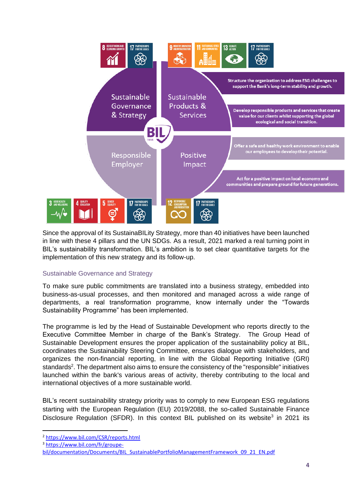

Since the approval of its SustainaBILity Strategy, more than 40 initiatives have been launched in line with these 4 pillars and the UN SDGs. As a result, 2021 marked a real turning point in BIL's sustainability transformation. BIL's ambition is to set clear quantitative targets for the implementation of this new strategy and its follow-up.

#### Sustainable Governance and Strategy

To make sure public commitments are translated into a business strategy, embedded into business-as-usual processes, and then monitored and managed across a wide range of departments, a real transformation programme, know internally under the "Towards Sustainability Programme" has been implemented.

The programme is led by the Head of Sustainable Development who reports directly to the Executive Committee Member in charge of the Bank's Strategy. The Group Head of Sustainable Development ensures the proper application of the sustainability policy at BIL, coordinates the Sustainability Steering Committee, ensures dialogue with stakeholders, and organizes the non-financial reporting, in line with the Global Reporting Initiative (GRI) standards<sup>2</sup>. The department also aims to ensure the consistency of the "responsible" initiatives launched within the bank's various areas of activity, thereby contributing to the local and international objectives of a more sustainable world.

BIL's recent sustainability strategy priority was to comply to new European ESG regulations starting with the European Regulation (EU) 2019/2088, the so-called Sustainable Finance Disclosure Regulation (SFDR). In this context BIL published on its website<sup>3</sup> in 2021 its

<sup>2</sup> <https://www.bil.com/CSR/reports.html>

<sup>3</sup> [https://www.bil.com/fr/groupe-](https://www.bil.com/fr/groupe-bil/documentation/Documents/BIL_SustainablePortfolioManagementFramework_09_21_EN.pdf)

[bil/documentation/Documents/BIL\\_SustainablePortfolioManagementFramework\\_09\\_21\\_EN.pdf](https://www.bil.com/fr/groupe-bil/documentation/Documents/BIL_SustainablePortfolioManagementFramework_09_21_EN.pdf)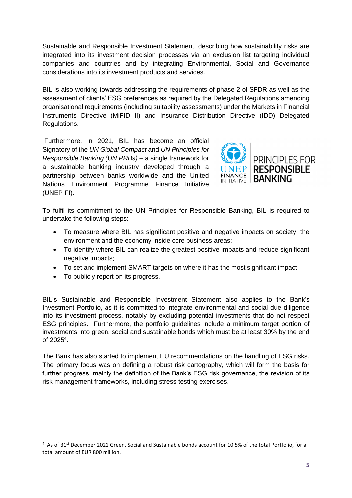Sustainable and Responsible Investment Statement, describing how sustainability risks are integrated into its investment decision processes via an exclusion list targeting individual companies and countries and by integrating Environmental, Social and Governance considerations into its investment products and services.

BIL is also working towards addressing the requirements of phase 2 of SFDR as well as the assessment of clients' ESG preferences as required by the Delegated Regulations amending organisational requirements (including suitability assessments) under the Markets in Financial Instruments Directive (MiFID II) and Insurance Distribution Directive (IDD) Delegated Regulations.

Furthermore, in 2021, BIL has become an official Signatory of the *UN Global Compact* and *UN Principles for Responsible Banking (UN PRBs)* – a single framework for a sustainable banking industry developed through a partnership between banks worldwide and the United Nations Environment Programme Finance Initiative (UNEP FI).



To fulfil its commitment to the UN Principles for Responsible Banking, BIL is required to undertake the following steps:

- To measure where BIL has significant positive and negative impacts on society, the environment and the economy inside core business areas;
- To identify where BIL can realize the greatest positive impacts and reduce significant negative impacts;
- To set and implement SMART targets on where it has the most significant impact;
- To publicly report on its progress.

BIL's Sustainable and Responsible Investment Statement also applies to the Bank's Investment Portfolio, as it is committed to integrate environmental and social due diligence into its investment process, notably by excluding potential investments that do not respect ESG principles. Furthermore, the portfolio guidelines include a minimum target portion of investments into green, social and sustainable bonds which must be at least 30% by the end of 2025<sup>4</sup>.

The Bank has also started to implement EU recommendations on the handling of ESG risks. The primary focus was on defining a robust risk cartography, which will form the basis for further progress, mainly the definition of the Bank's ESG risk governance, the revision of its risk management frameworks, including stress-testing exercises.

<sup>&</sup>lt;sup>4</sup> As of 31<sup>st</sup> December 2021 Green, Social and Sustainable bonds account for 10.5% of the total Portfolio, for a total amount of EUR 800 million.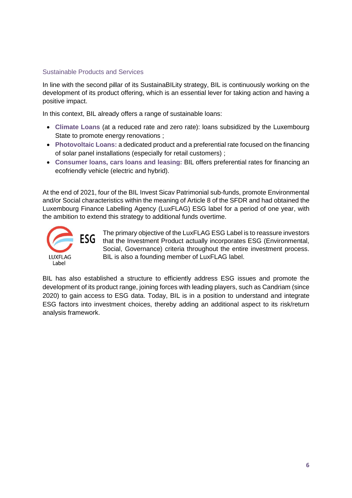#### Sustainable Products and Services

In line with the second pillar of its SustainaBILity strategy, BIL is continuously working on the development of its product offering, which is an essential lever for taking action and having a positive impact.

In this context, BIL already offers a range of sustainable loans:

- **Climate Loans** (at a reduced rate and zero rate): loans subsidized by the Luxembourg State to promote energy renovations ;
- **Photovoltaic Loans:** a dedicated product and a preferential rate focused on the financing of solar panel installations (especially for retail customers) ;
- **Consumer loans, cars loans and leasing:** BIL offers preferential rates for financing an ecofriendly vehicle (electric and hybrid).

At the end of 2021, four of the BIL Invest Sicav Patrimonial sub-funds, promote Environmental and/or Social characteristics within the meaning of Article 8 of the SFDR and had obtained the Luxembourg Finance Labelling Agency (LuxFLAG) ESG label for a period of one year, with the ambition to extend this strategy to additional funds overtime.



The primary objective of the LuxFLAG ESG Label is to reassure investors that the Investment Product actually incorporates ESG (Environmental, Social, Governance) criteria throughout the entire investment process. BIL is also a founding member of LuxFLAG label.

BIL has also established a structure to efficiently address ESG issues and promote the development of its product range, joining forces with leading players, such as Candriam (since 2020) to gain access to ESG data. Today, BIL is in a position to understand and integrate ESG factors into investment choices, thereby adding an additional aspect to its risk/return analysis framework.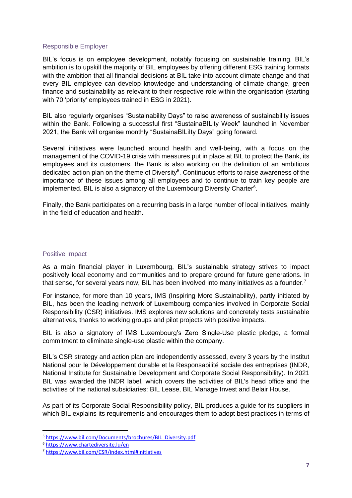#### Responsible Employer

BIL's focus is on employee development, notably focusing on sustainable training. BIL's ambition is to upskill the majority of BIL employees by offering different ESG training formats with the ambition that all financial decisions at BIL take into account climate change and that every BIL employee can develop knowledge and understanding of climate change, green finance and sustainability as relevant to their respective role within the organisation (starting with 70 'priority' employees trained in ESG in 2021).

BIL also regularly organises "Sustainability Days" to raise awareness of sustainability issues within the Bank. Following a successful first "SustainaBILity Week" launched in November 2021, the Bank will organise monthly "SustainaBILiIty Days" going forward.

Several initiatives were launched around health and well-being, with a focus on the management of the COVID-19 crisis with measures put in place at BIL to protect the Bank, its employees and its customers. the Bank is also working on the definition of an ambitious dedicated action plan on the theme of Diversity<sup>5</sup>. Continuous efforts to raise awareness of the importance of these issues among all employees and to continue to train key people are implemented. BIL is also a signatory of the Luxembourg Diversity Charter<sup>6</sup>.

Finally, the Bank participates on a recurring basis in a large number of local initiatives, mainly in the field of education and health.

#### Positive Impact

As a main financial player in Luxembourg, BIL's sustainable strategy strives to impact positively local economy and communities and to prepare ground for future generations. In that sense, for several years now, BIL has been involved into many initiatives as a founder.<sup>7</sup>

For instance, for more than 10 years, IMS (Inspiring More Sustainability), partly initiated by BIL, has been the leading network of Luxembourg companies involved in Corporate Social Responsibility (CSR) initiatives. IMS explores new solutions and concretely tests sustainable alternatives, thanks to working groups and pilot projects with positive impacts.

BIL is also a signatory of IMS Luxembourg's Zero Single-Use plastic pledge, a formal commitment to eliminate single-use plastic within the company.

BIL's CSR strategy and action plan are independently assessed, every 3 years by the Institut National pour le Développement durable et la Responsabilité sociale des entreprises (INDR, National Institute for Sustainable Development and Corporate Social Responsibility). In 2021 BIL was awarded the INDR label, which covers the activities of BIL's head office and the activities of the national subsidiaries: BIL Lease, BIL Manage Invest and Belair House.

As part of its Corporate Social Responsibility policy, BIL produces a guide for its suppliers in which BIL explains its requirements and encourages them to adopt best practices in terms of

<sup>5</sup> [https://www.bil.com/Documents/brochures/BIL\\_Diversity.pdf](https://www.bil.com/Documents/brochures/BIL_Diversity.pdf)

<sup>6</sup> <https://www.chartediversite.lu/en>

<sup>7</sup> <https://www.bil.com/CSR/index.html#initiatives>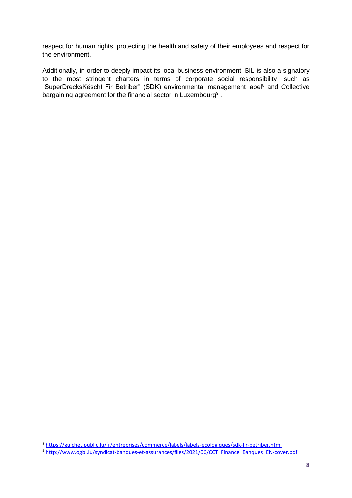respect for human rights, protecting the health and safety of their employees and respect for the environment.

Additionally, in order to deeply impact its local business environment, BIL is also a signatory to the most stringent charters in terms of corporate social responsibility, such as "SuperDrecksKëscht Fir Betriber" (SDK) environmental management label<sup>8</sup> and Collective bargaining agreement for the financial sector in Luxembourg<sup>9</sup>.

<sup>8</sup> <https://guichet.public.lu/fr/entreprises/commerce/labels/labels-ecologiques/sdk-fir-betriber.html>

<sup>9</sup> [http://www.ogbl.lu/syndicat-banques-et-assurances/files/2021/06/CCT\\_Finance\\_Banques\\_EN-cover.pdf](http://www.ogbl.lu/syndicat-banques-et-assurances/files/2021/06/CCT_Finance_Banques_EN-cover.pdf)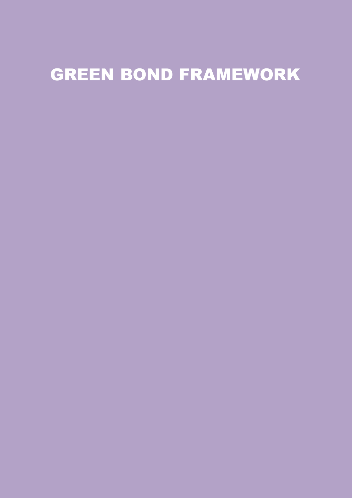# <span id="page-9-0"></span>GREEN BOND FRAMEWORK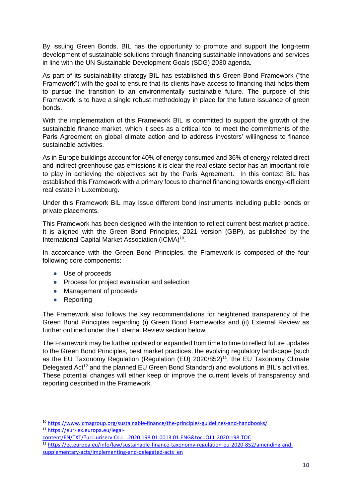By issuing Green Bonds, BIL has the opportunity to promote and support the long-term development of sustainable solutions through financing sustainable innovations and services in line with the UN Sustainable Development Goals (SDG) 2030 agenda.

As part of its sustainability strategy BIL has established this Green Bond Framework ("the Framework") with the goal to ensure that its clients have access to financing that helps them to pursue the transition to an environmentally sustainable future. The purpose of this Framework is to have a single robust methodology in place for the future issuance of green bonds.

With the implementation of this Framework BIL is committed to support the growth of the sustainable finance market, which it sees as a critical tool to meet the commitments of the Paris Agreement on global climate action and to address investors' willingness to finance sustainable activities.

As in Europe buildings account for 40% of energy consumed and 36% of energy-related direct and indirect greenhouse gas emissions it is clear the real estate sector has an important role to play in achieving the objectives set by the Paris Agreement. In this context BIL has established this Framework with a primary focus to channel financing towards energy-efficient real estate in Luxembourg.

Under this Framework BIL may issue different bond instruments including public bonds or private placements.

This Framework has been designed with the intention to reflect current best market practice. It is aligned with the Green Bond Principles, 2021 version (GBP), as published by the International Capital Market Association (ICMA)<sup>10</sup>.

In accordance with the Green Bond Principles, the Framework is composed of the four following core components:

- Use of proceeds
- Process for project evaluation and selection
- Management of proceeds
- Reporting

The Framework also follows the key recommendations for heightened transparency of the Green Bond Principles regarding (i) Green Bond Frameworks and (ii) External Review as further outlined under the External Review section below.

The Framework may be further updated or expanded from time to time to reflect future updates to the Green Bond Principles, best market practices, the evolving regulatory landscape (such as the EU Taxonomy Regulation (Regulation (EU) 2020/852)<sup>11</sup>, the EU Taxonomy Climate Delegated Act<sup>12</sup> and the planned EU Green Bond Standard) and evolutions in BIL's activities. These potential changes will either keep or improve the current levels of transparency and reporting described in the Framework.

[content/EN/TXT/?uri=uriserv:OJ.L\\_.2020.198.01.0013.01.ENG&toc=OJ:L:2020:198:TOC](https://eur-lex.europa.eu/legal-content/EN/TXT/?uri=uriserv:OJ.L_.2020.198.01.0013.01.ENG&toc=OJ:L:2020:198:TOC)

<span id="page-10-0"></span><sup>10</sup> <https://www.icmagroup.org/sustainable-finance/the-principles-guidelines-and-handbooks/>

<sup>11</sup> [https://eur-lex.europa.eu/legal-](https://eur-lex.europa.eu/legal-content/EN/TXT/?uri=uriserv:OJ.L_.2020.198.01.0013.01.ENG&toc=OJ:L:2020:198:TOC)

<sup>12</sup> [https://ec.europa.eu/info/law/sustainable-finance-taxonomy-regulation-eu-2020-852/amending-and](https://ec.europa.eu/info/law/sustainable-finance-taxonomy-regulation-eu-2020-852/amending-and-supplementary-acts/implementing-and-delegated-acts_en)[supplementary-acts/implementing-and-delegated-acts\\_en](https://ec.europa.eu/info/law/sustainable-finance-taxonomy-regulation-eu-2020-852/amending-and-supplementary-acts/implementing-and-delegated-acts_en)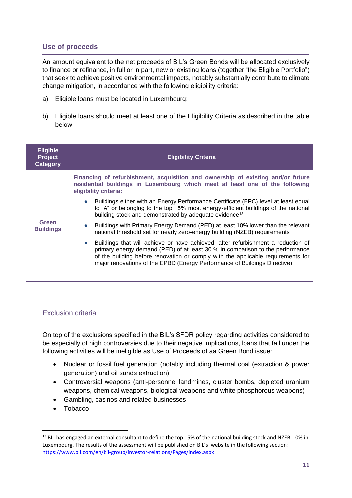#### **Use of proceeds**

An amount equivalent to the net proceeds of BIL's Green Bonds will be allocated exclusively to finance or refinance, in full or in part, new or existing loans (together "the Eligible Portfolio") that seek to achieve positive environmental impacts, notably substantially contribute to climate change mitigation, in accordance with the following eligibility criteria:

- a) Eligible loans must be located in Luxembourg;
- b) Eligible loans should meet at least one of the Eligibility Criteria as described in the table below.

| <b>Eligible</b><br><b>Project</b><br>Category | <b>Eligibility Criteria</b>                                                                                                                                                                                                                                                                                                          |
|-----------------------------------------------|--------------------------------------------------------------------------------------------------------------------------------------------------------------------------------------------------------------------------------------------------------------------------------------------------------------------------------------|
| Green<br><b>Buildings</b>                     | Financing of refurbishment, acquisition and ownership of existing and/or future<br>residential buildings in Luxembourg which meet at least one of the following<br>eligibility criteria:                                                                                                                                             |
|                                               | Buildings either with an Energy Performance Certificate (EPC) level at least equal<br>to "A" or belonging to the top 15% most energy-efficient buildings of the national<br>building stock and demonstrated by adequate evidence <sup>13</sup>                                                                                       |
|                                               | • Buildings with Primary Energy Demand (PED) at least 10% lower than the relevant<br>national threshold set for nearly zero-energy building (NZEB) requirements                                                                                                                                                                      |
|                                               | • Buildings that will achieve or have achieved, after refurbishment a reduction of<br>primary energy demand (PED) of at least 30 % in comparison to the performance<br>of the building before renovation or comply with the applicable requirements for<br>major renovations of the EPBD (Energy Performance of Buildings Directive) |

#### Exclusion criteria

On top of the exclusions specified in the BIL's SFDR policy regarding activities considered to be especially of high controversies due to their negative implications, loans that fall under the following activities will be ineligible as Use of Proceeds of aa Green Bond issue:

- Nuclear or fossil fuel generation (notably including thermal coal (extraction & power generation) and oil sands extraction)
- Controversial weapons (anti-personnel landmines, cluster bombs, depleted uranium weapons, chemical weapons, biological weapons and white phosphorous weapons)
- Gambling, casinos and related businesses
- Tobacco

<sup>&</sup>lt;sup>13</sup> BIL has engaged an external consultant to define the top 15% of the national building stock and NZEB-10% in Luxembourg. The results of the assessment will be published on BIL's website in the following section: <https://www.bil.com/en/bil-group/investor-relations/Pages/index.aspx>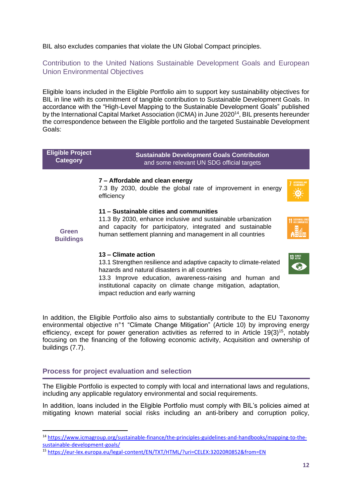BIL also excludes companies that violate the UN Global Compact principles.

Contribution to the United Nations Sustainable Development Goals and European Union Environmental Objectives

Eligible loans included in the Eligible Portfolio aim to support key sustainability objectives for BIL in line with its commitment of tangible contribution to Sustainable Development Goals. In accordance with the "High-Level Mapping to the Sustainable Development Goals" published by the International Capital Market Association (ICMA) in June 2020<sup>14</sup>, BIL presents hereunder the correspondence between the Eligible portfolio and the targeted Sustainable Development Goals:

| <b>Eligible Project</b><br><b>Category</b> | <b>Sustainable Development Goals Contribution</b><br>and some relevant UN SDG official targets                                                                                                                                                                                                                    |                                |
|--------------------------------------------|-------------------------------------------------------------------------------------------------------------------------------------------------------------------------------------------------------------------------------------------------------------------------------------------------------------------|--------------------------------|
|                                            | 7 – Affordable and clean energy<br>7.3 By 2030, double the global rate of improvement in energy<br>efficiency                                                                                                                                                                                                     | AFFORDABLE AND<br>CLEAN ENERGY |
| <b>Green</b><br><b>Buildings</b>           | 11 – Sustainable cities and communities<br>11.3 By 2030, enhance inclusive and sustainable urbanization<br>and capacity for participatory, integrated and sustainable<br>human settlement planning and management in all countries                                                                                |                                |
|                                            | 13 – Climate action<br>13.1 Strengthen resilience and adaptive capacity to climate-related<br>hazards and natural disasters in all countries<br>13.3 Improve education, awareness-raising and human and<br>institutional capacity on climate change mitigation, adaptation,<br>impact reduction and early warning | <b>13 GLIMATE</b>              |

In addition, the Eligible Portfolio also aims to substantially contribute to the EU Taxonomy environmental objective n°1 "Climate Change Mitigation" (Article 10) by improving energy efficiency, except for power generation activities as referred to in Article  $19(3)^{15}$ , notably focusing on the financing of the following economic activity, Acquisition and ownership of buildings (7.7).

#### <span id="page-12-0"></span>**Process for project evaluation and selection**

The Eligible Portfolio is expected to comply with local and international laws and regulations, including any applicable regulatory environmental and social requirements.

In addition, loans included in the Eligible Portfolio must comply with BIL's policies aimed at mitigating known material social risks including an anti-bribery and corruption policy,

<sup>14</sup> [https://www.icmagroup.org/sustainable-finance/the-principles-guidelines-and-handbooks/mapping-to-the](https://www.icmagroup.org/sustainable-finance/the-principles-guidelines-and-handbooks/mapping-to-the-sustainable-development-goals/)[sustainable-development-goals/](https://www.icmagroup.org/sustainable-finance/the-principles-guidelines-and-handbooks/mapping-to-the-sustainable-development-goals/)

<sup>15</sup> <https://eur-lex.europa.eu/legal-content/EN/TXT/HTML/?uri=CELEX:32020R0852&from=EN>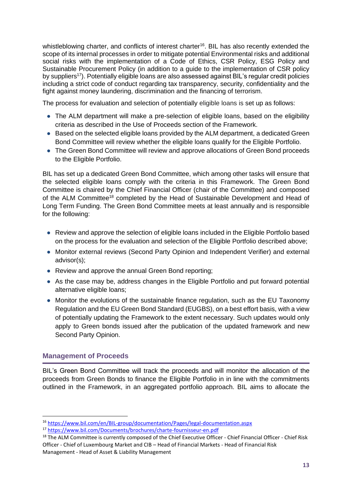whistleblowing charter, and conflicts of interest charter<sup>16</sup>. BIL has also recently extended the scope of its internal processes in order to mitigate potential Environmental risks and additional social risks with the implementation of a Code of Ethics, CSR Policy, ESG Policy and Sustainable Procurement Policy (in addition to a guide to the implementation of CSR policy by suppliers<sup>17</sup>). Potentially eligible loans are also assessed against BIL's regular credit policies including a strict code of conduct regarding tax transparency, security, confidentiality and the fight against money laundering, discrimination and the financing of terrorism.

The process for evaluation and selection of potentially eligible loans is set up as follows:

- The ALM department will make a pre-selection of eligible loans, based on the eligibility criteria as described in the Use of Proceeds section of the Framework.
- Based on the selected eligible loans provided by the ALM department, a dedicated Green Bond Committee will review whether the eligible loans qualify for the Eligible Portfolio.
- The Green Bond Committee will review and approve allocations of Green Bond proceeds to the Eligible Portfolio.

BIL has set up a dedicated Green Bond Committee, which among other tasks will ensure that the selected eligible loans comply with the criteria in this Framework. The Green Bond Committee is chaired by the Chief Financial Officer (chair of the Committee) and composed of the ALM Committee<sup>18</sup> completed by the Head of Sustainable Development and Head of Long Term Funding. The Green Bond Committee meets at least annually and is responsible for the following:

- Review and approve the selection of eligible loans included in the Eligible Portfolio based on the process for the evaluation and selection of the Eligible Portfolio described above;
- Monitor external reviews (Second Party Opinion and Independent Verifier) and external advisor(s);
- Review and approve the annual Green Bond reporting;
- As the case may be, address changes in the Eligible Portfolio and put forward potential alternative eligible loans;
- Monitor the evolutions of the sustainable finance regulation, such as the EU Taxonomy Regulation and the EU Green Bond Standard (EUGBS), on a best effort basis, with a view of potentially updating the Framework to the extent necessary. Such updates would only apply to Green bonds issued after the publication of the updated framework and new Second Party Opinion.

#### <span id="page-13-0"></span>**Management of Proceeds**

BIL's Green Bond Committee will track the proceeds and will monitor the allocation of the proceeds from Green Bonds to finance the Eligible Portfolio in in line with the commitments outlined in the Framework, in an aggregated portfolio approach. BIL aims to allocate the

<sup>16</sup> <https://www.bil.com/en/BIL-group/documentation/Pages/legal-documentation.aspx>

<sup>17</sup> <https://www.bil.com/Documents/brochures/charte-fournisseur-en.pdf>

<sup>&</sup>lt;sup>18</sup> [The](https://eur-lex.europa.eu/legal-content/EN/TXT/HTML/?uri=CELEX:32020R0852&from=EN) ALM Committee is currently composed of the Chief Executive Officer - Chief Financial Officer - Chief Risk Officer - Chief of Luxembourg Market and CIB – Head of Financial Markets - Head of Financial Risk Management - Head of Asset & Liability Management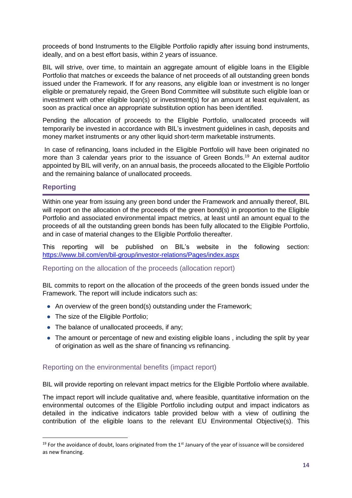proceeds of bond Instruments to the Eligible Portfolio rapidly after issuing bond instruments, ideally, and on a best effort basis, within 2 years of issuance.

BIL will strive, over time, to maintain an aggregate amount of eligible loans in the Eligible Portfolio that matches or exceeds the balance of net proceeds of all outstanding green bonds issued under the Framework. If for any reasons, any eligible loan or investment is no longer eligible or prematurely repaid, the Green Bond Committee will substitute such eligible loan or investment with other eligible loan(s) or investment(s) for an amount at least equivalent, as soon as practical once an appropriate substitution option has been identified.

Pending the allocation of proceeds to the Eligible Portfolio, unallocated proceeds will temporarily be invested in accordance with BIL's investment guidelines in cash, deposits and money market instruments or any other liquid short-term marketable instruments.

In case of refinancing, loans included in the Eligible Portfolio will have been originated no more than 3 calendar years prior to the issuance of Green Bonds.<sup>19</sup> An external auditor appointed by BIL will verify, on an annual basis, the proceeds allocated to the Eligible Portfolio and the remaining balance of unallocated proceeds.

#### <span id="page-14-0"></span>**Reporting**

Within one year from issuing any green bond under the Framework and annually thereof, BIL will report on the allocation of the proceeds of the green bond(s) in proportion to the Eligible Portfolio and associated environmental impact metrics, at least until an amount equal to the proceeds of all the outstanding green bonds has been fully allocated to the Eligible Portfolio, and in case of material changes to the Eligible Portfolio thereafter.

This reporting will be published on BIL's website in the following section: <https://www.bil.com/en/bil-group/investor-relations/Pages/index.aspx>

#### <span id="page-14-1"></span>Reporting on the allocation of the proceeds (allocation report)

BIL commits to report on the allocation of the proceeds of the green bonds issued under the Framework. The report will include indicators such as:

- An overview of the green bond(s) outstanding under the Framework;
- The size of the Eligible Portfolio:
- The balance of unallocated proceeds, if any;
- The amount or percentage of new and existing eligible loans, including the split by year of origination as well as the share of financing vs refinancing.

#### <span id="page-14-2"></span>Reporting on the environmental benefits (impact report)

BIL will provide reporting on relevant impact metrics for the Eligible Portfolio where available.

The impact report will include qualitative and, where feasible, quantitative information on the environmental outcomes of the Eligible Portfolio including output and impact indicators as detailed in the indicative indicators table provided below with a view of outlining the contribution of the eligible loans to the relevant EU Environmental Objective(s). This

<sup>&</sup>lt;sup>19</sup> For the avoidance of doubt, loans originated from the 1<sup>st</sup> January of the year of issuance will be considered as new financing.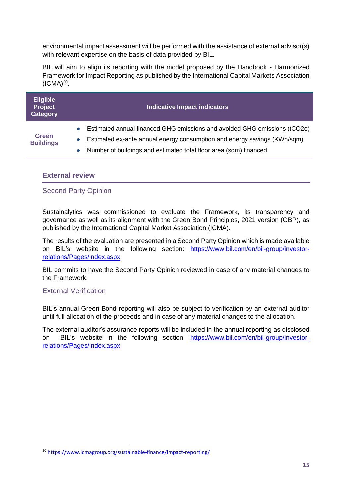environmental impact assessment will be performed with the assistance of external advisor(s) with relevant expertise on the basis of data provided by BIL.

BIL will aim to align its reporting with the model proposed by the Handbook - Harmonized Framework for Impact Reporting as published by the International Capital Markets Association  $(ICMA)^{20}$ .

| <b>Eligible</b><br>Project<br><b>Category</b> | <b>Indicative Impact indicators</b>                                                    |
|-----------------------------------------------|----------------------------------------------------------------------------------------|
|                                               | Estimated annual financed GHG emissions and avoided GHG emissions (tCO2e)<br>$\bullet$ |
| <b>Green</b><br><b>Buildings</b>              | Estimated ex-ante annual energy consumption and energy savings (KWh/sqm)<br>$\bullet$  |
|                                               | Number of buildings and estimated total floor area (sqm) financed<br>$\bullet$         |

#### <span id="page-15-0"></span>**External review**

#### <span id="page-15-1"></span>Second Party Opinion

Sustainalytics was commissioned to evaluate the Framework, its transparency and governance as well as its alignment with the Green Bond Principles, 2021 version (GBP), as published by the International Capital Market Association (ICMA).

The results of the evaluation are presented in a Second Party Opinion which is made available on BIL's website in the following section: [https://www.bil.com/en/bil-group/investor](https://www.bil.com/en/bil-group/investor-relations/Pages/index.aspx)[relations/Pages/index.aspx](https://www.bil.com/en/bil-group/investor-relations/Pages/index.aspx) 

BIL commits to have the Second Party Opinion reviewed in case of any material changes to the Framework.

#### <span id="page-15-2"></span>External Verification

BIL's annual Green Bond reporting will also be subject to verification by an external auditor until full allocation of the proceeds and in case of any material changes to the allocation.

The external auditor's assurance reports will be included in the annual reporting as disclosed on BIL's website in the following section: [https://www.bil.com/en/bil-group/investor](https://www.bil.com/en/bil-group/investor-relations/Pages/index.aspx)[relations/Pages/index.aspx](https://www.bil.com/en/bil-group/investor-relations/Pages/index.aspx) 

<sup>20</sup> <https://www.icmagroup.org/sustainable-finance/impact-reporting/>